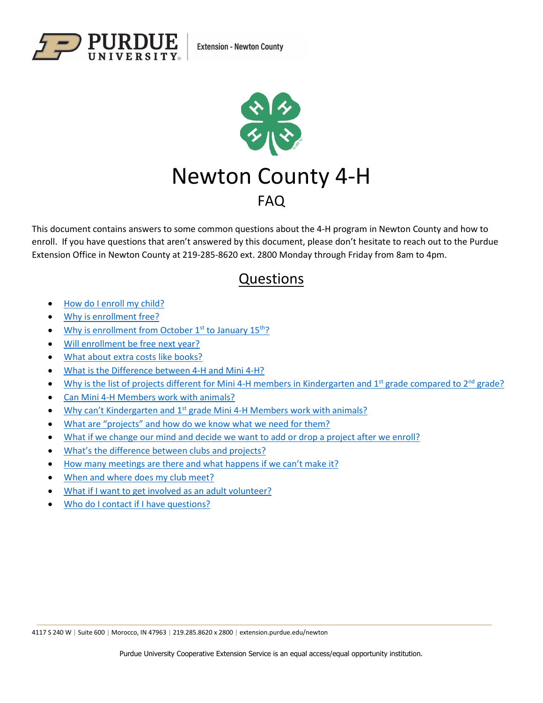



This document contains answers to some common questions about the 4-H program in Newton County and how to enroll. If you have questions that aren't answered by this document, please don't hesitate to reach out to the Purdue Extension Office in Newton County at 219-285-8620 ext. 2800 Monday through Friday from 8am to 4pm.

# Questions

- <span id="page-0-0"></span>• [How do I enroll my child?](#page-1-0)
- [Why is enrollment free?](#page-1-1)
- [Why is enrollment from October](#page-1-2)  $1<sup>st</sup>$  to January  $15<sup>th</sup>$ ?
- [Will enrollment be free next year?](#page-1-3)
- [What about extra costs like books?](#page-2-0)
- [What is the Difference between 4-H and Mini 4-H?](#page-2-1)
- [Why is the list of projects different for Mini](#page-2-2) 4-H members in Kindergarten and  $1<sup>st</sup>$  grade compared to  $2<sup>nd</sup>$  grade?
- [Can Mini 4-H Members work with animals?](#page-3-0)
- Why can't Kindergarten and 1st [grade Mini 4-H Members work with animals?](#page-3-1)
- [What are "projects" and how do we know what we need for them?](#page-3-2)
- [What if we change our mind and decide we want to add or drop a project after we enroll?](#page-4-0)
- [What's the difference between clubs and projects?](#page-4-1)
- [How many meetings are there and what happens if we can't make it?](#page-4-2)
- [When and where does my club meet?](#page-5-0)
- [What if I want to get involved as an adult volunteer?](#page-5-1)
- [Who do I contact if I have questions?](#page-5-2)

4117 S 240 W | Suite 600 | Morocco, IN 47963 | 219.285.8620 x 2800 | extension.purdue.edu/newton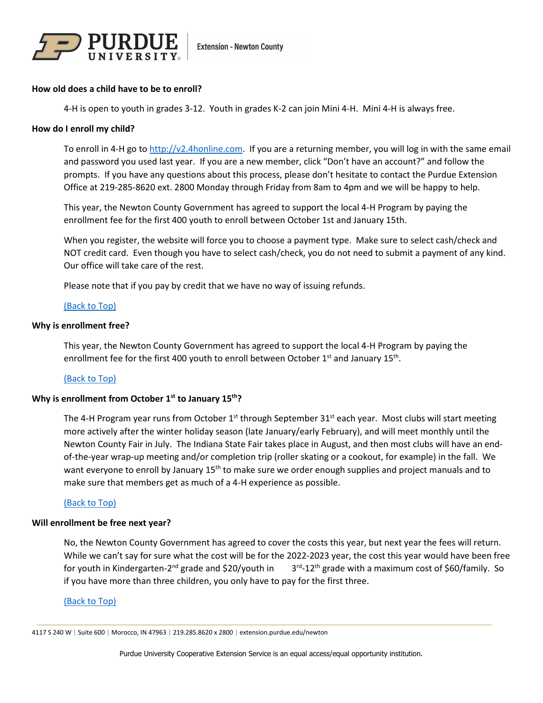

## <span id="page-1-0"></span>**How old does a child have to be to enroll?**

4-H is open to youth in grades 3-12. Youth in grades K-2 can join Mini 4-H. Mini 4-H is always free.

## **How do I enroll my child?**

To enroll in 4-H go t[o http://v2.4honline.com.](http://v2.4honline.com/) If you are a returning member, you will log in with the same email and password you used last year. If you are a new member, click "Don't have an account?" and follow the prompts. If you have any questions about this process, please don't hesitate to contact the Purdue Extension Office at 219-285-8620 ext. 2800 Monday through Friday from 8am to 4pm and we will be happy to help.

This year, the Newton County Government has agreed to support the local 4-H Program by paying the enrollment fee for the first 400 youth to enroll between October 1st and January 15th.

When you register, the website will force you to choose a payment type. Make sure to select cash/check and NOT credit card. Even though you have to select cash/check, you do not need to submit a payment of any kind. Our office will take care of the rest.

Please note that if you pay by credit that we have no way of issuing refunds.

# [\(Back to Top\)](#page-0-0)

#### <span id="page-1-1"></span>**Why is enrollment free?**

This year, the Newton County Government has agreed to support the local 4-H Program by paying the enrollment fee for the first 400 youth to enroll between October  $1^{st}$  and January  $15^{th}$ .

# [\(Back to Top\)](#page-0-0)

## <span id="page-1-2"></span>**Why is enrollment from October 1st to January 15<sup>th</sup>?**

The 4-H Program year runs from October  $1^{st}$  through September 31<sup>st</sup> each year. Most clubs will start meeting more actively after the winter holiday season (late January/early February), and will meet monthly until the Newton County Fair in July. The Indiana State Fair takes place in August, and then most clubs will have an endof-the-year wrap-up meeting and/or completion trip (roller skating or a cookout, for example) in the fall. We want everyone to enroll by January 15<sup>th</sup> to make sure we order enough supplies and project manuals and to make sure that members get as much of a 4-H experience as possible.

## <span id="page-1-3"></span>[\(Back to Top\)](#page-0-0)

## **Will enrollment be free next year?**

No, the Newton County Government has agreed to cover the costs this year, but next year the fees will return. While we can't say for sure what the cost will be for the 2022-2023 year, the cost this year would have been free for youth in Kindergarten-2<sup>nd</sup> grade and \$20/youth in  $3<sup>rd</sup>$ -12<sup>th</sup> grade with a maximum cost of \$60/family. So if you have more than three children, you only have to pay for the first three.

## [\(Back to Top\)](#page-0-0)

<sup>4117</sup> S 240 W | Suite 600 | Morocco, IN 47963 | 219.285.8620 x 2800 | extension.purdue.edu/newton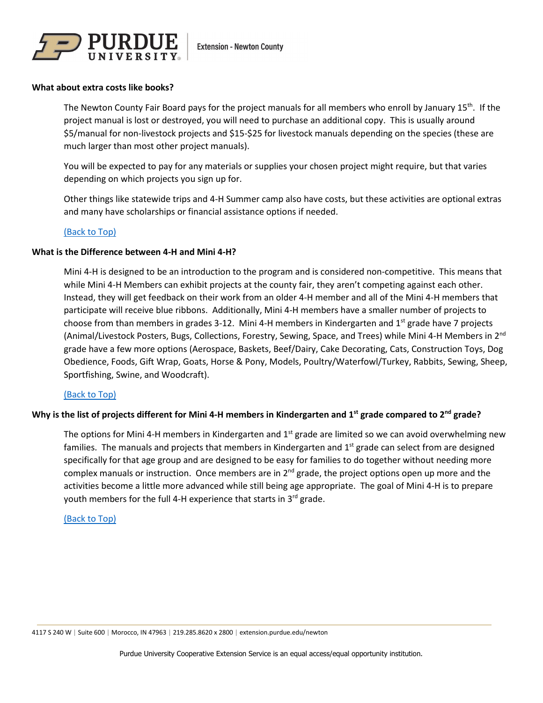

## <span id="page-2-0"></span>**What about extra costs like books?**

The Newton County Fair Board pays for the project manuals for all members who enroll by January 15<sup>th</sup>. If the project manual is lost or destroyed, you will need to purchase an additional copy. This is usually around \$5/manual for non-livestock projects and \$15-\$25 for livestock manuals depending on the species (these are much larger than most other project manuals).

You will be expected to pay for any materials or supplies your chosen project might require, but that varies depending on which projects you sign up for.

Other things like statewide trips and 4-H Summer camp also have costs, but these activities are optional extras and many have scholarships or financial assistance options if needed.

# [\(Back to Top\)](#page-0-0)

## <span id="page-2-1"></span>**What is the Difference between 4-H and Mini 4-H?**

Mini 4-H is designed to be an introduction to the program and is considered non-competitive. This means that while Mini 4-H Members can exhibit projects at the county fair, they aren't competing against each other. Instead, they will get feedback on their work from an older 4-H member and all of the Mini 4-H members that participate will receive blue ribbons. Additionally, Mini 4-H members have a smaller number of projects to choose from than members in grades 3-12. Mini 4-H members in Kindergarten and  $1<sup>st</sup>$  grade have 7 projects (Animal/Livestock Posters, Bugs, Collections, Forestry, Sewing, Space, and Trees) while Mini 4-H Members in 2nd grade have a few more options (Aerospace, Baskets, Beef/Dairy, Cake Decorating, Cats, Construction Toys, Dog Obedience, Foods, Gift Wrap, Goats, Horse & Pony, Models, Poultry/Waterfowl/Turkey, Rabbits, Sewing, Sheep, Sportfishing, Swine, and Woodcraft).

# [\(Back to Top\)](#page-0-0)

# <span id="page-2-2"></span>**Why is the list of projects different for Mini 4-H members in Kindergarten and 1st grade compared to 2nd grade?**

The options for Mini 4-H members in Kindergarten and  $1<sup>st</sup>$  grade are limited so we can avoid overwhelming new families. The manuals and projects that members in Kindergarten and 1<sup>st</sup> grade can select from are designed specifically for that age group and are designed to be easy for families to do together without needing more complex manuals or instruction. Once members are in 2<sup>nd</sup> grade, the project options open up more and the activities become a little more advanced while still being age appropriate. The goal of Mini 4-H is to prepare youth members for the full 4-H experience that starts in 3rd grade.

## [\(Back to Top\)](#page-0-0)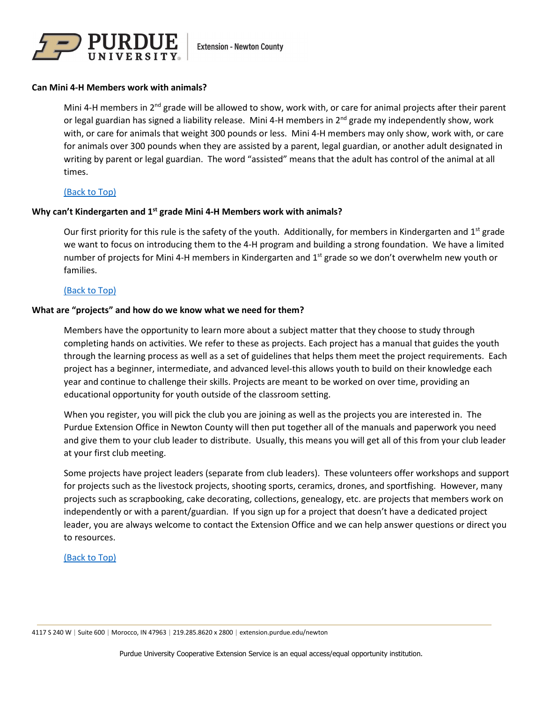

## <span id="page-3-0"></span>**Can Mini 4-H Members work with animals?**

Mini 4-H members in 2<sup>nd</sup> grade will be allowed to show, work with, or care for animal projects after their parent or legal guardian has signed a liability release. Mini 4-H members in  $2^{nd}$  grade my independently show, work with, or care for animals that weight 300 pounds or less. Mini 4-H members may only show, work with, or care for animals over 300 pounds when they are assisted by a parent, legal guardian, or another adult designated in writing by parent or legal guardian. The word "assisted" means that the adult has control of the animal at all times.

## [\(Back to Top\)](#page-0-0)

## <span id="page-3-1"></span>**Why can't Kindergarten and 1st grade Mini 4-H Members work with animals?**

Our first priority for this rule is the safety of the youth. Additionally, for members in Kindergarten and  $1^{st}$  grade we want to focus on introducing them to the 4-H program and building a strong foundation. We have a limited number of projects for Mini 4-H members in Kindergarten and 1<sup>st</sup> grade so we don't overwhelm new youth or families.

# [\(Back to Top\)](#page-0-0)

## <span id="page-3-2"></span>**What are "projects" and how do we know what we need for them?**

Members have the opportunity to learn more about a subject matter that they choose to study through completing hands on activities. We refer to these as projects. Each project has a manual that guides the youth through the learning process as well as a set of guidelines that helps them meet the project requirements. Each project has a beginner, intermediate, and advanced level-this allows youth to build on their knowledge each year and continue to challenge their skills. Projects are meant to be worked on over time, providing an educational opportunity for youth outside of the classroom setting.

When you register, you will pick the club you are joining as well as the projects you are interested in. The Purdue Extension Office in Newton County will then put together all of the manuals and paperwork you need and give them to your club leader to distribute. Usually, this means you will get all of this from your club leader at your first club meeting.

Some projects have project leaders (separate from club leaders). These volunteers offer workshops and support for projects such as the livestock projects, shooting sports, ceramics, drones, and sportfishing. However, many projects such as scrapbooking, cake decorating, collections, genealogy, etc. are projects that members work on independently or with a parent/guardian. If you sign up for a project that doesn't have a dedicated project leader, you are always welcome to contact the Extension Office and we can help answer questions or direct you to resources.

## [\(Back to Top\)](#page-0-0)

4117 S 240 W | Suite 600 | Morocco, IN 47963 | 219.285.8620 x 2800 | extension.purdue.edu/newton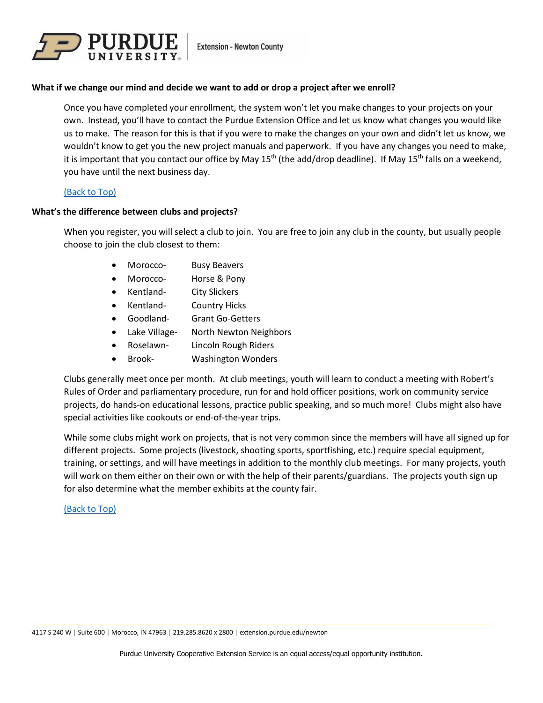

# <span id="page-4-0"></span>**What if we change our mind and decide we want to add or drop a project after we enroll?**

Once you have completed your enrollment, the system won't let you make changes to your projects on your own. Instead, you'll have to contact the Purdue Extension Office and let us know what changes you would like us to make. The reason for this is that if you were to make the changes on your own and didn't let us know, we wouldn't know to get you the new project manuals and paperwork. If you have any changes you need to make, it is important that you contact our office by May 15<sup>th</sup> (the add/drop deadline). If May 15<sup>th</sup> falls on a weekend, you have until the next business day.

# [\(Back to Top\)](#page-0-0)

## <span id="page-4-1"></span>**What's the difference between clubs and projects?**

When you register, you will select a club to join. You are free to join any club in the county, but usually people choose to join the club closest to them:

- Morocco- Busy Beavers
- Morocco- Horse & Pony
- Kentland- City Slickers
- Kentland- Country Hicks
- Goodland- Grant Go-Getters
- Lake Village- North Newton Neighbors
- Roselawn- Lincoln Rough Riders
- Brook- Washington Wonders

Clubs generally meet once per month. At club meetings, youth will learn to conduct a meeting with Robert's Rules of Order and parliamentary procedure, run for and hold officer positions, work on community service projects, do hands-on educational lessons, practice public speaking, and so much more! Clubs might also have special activities like cookouts or end-of-the-year trips.

While some clubs might work on projects, that is not very common since the members will have all signed up for different projects. Some projects (livestock, shooting sports, sportfishing, etc.) require special equipment, training, or settings, and will have meetings in addition to the monthly club meetings. For many projects, youth will work on them either on their own or with the help of their parents/guardians. The projects youth sign up for also determine what the member exhibits at the county fair.

## <span id="page-4-2"></span>[\(Back to Top\)](#page-0-0)